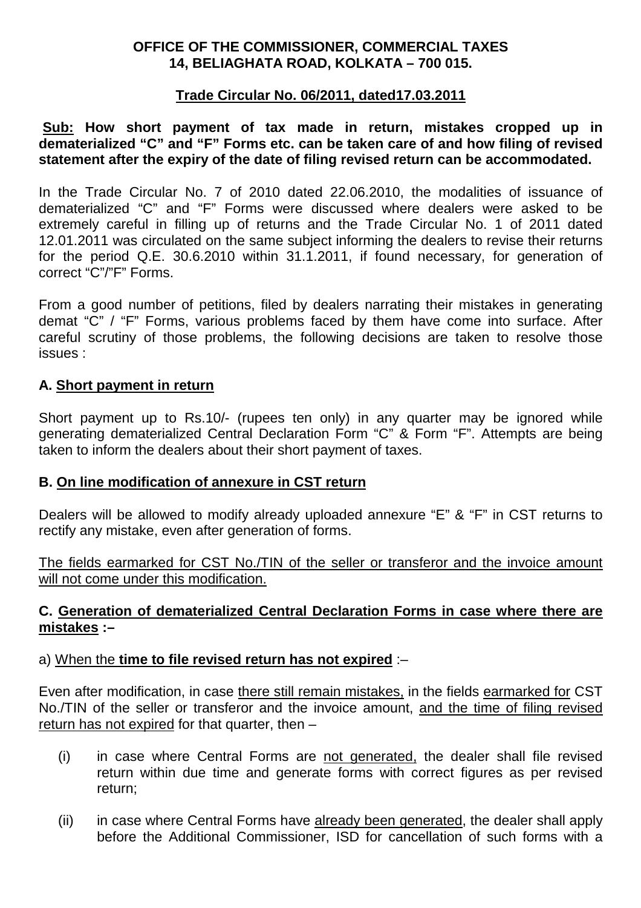# **OFFICE OF THE COMMISSIONER, COMMERCIAL TAXES 14, BELIAGHATA ROAD, KOLKATA – 700 015.**

## **Trade Circular No. 06/2011, dated17.03.2011**

## **Sub: How short payment of tax made in return, mistakes cropped up in dematerialized "C" and "F" Forms etc. can be taken care of and how filing of revised statement after the expiry of the date of filing revised return can be accommodated.**

In the Trade Circular No. 7 of 2010 dated 22.06.2010, the modalities of issuance of dematerialized "C" and "F" Forms were discussed where dealers were asked to be extremely careful in filling up of returns and the Trade Circular No. 1 of 2011 dated 12.01.2011 was circulated on the same subject informing the dealers to revise their returns for the period Q.E. 30.6.2010 within 31.1.2011, if found necessary, for generation of correct "C"/"F" Forms.

From a good number of petitions, filed by dealers narrating their mistakes in generating demat "C" / "F" Forms, various problems faced by them have come into surface. After careful scrutiny of those problems, the following decisions are taken to resolve those issues :

### **A. Short payment in return**

Short payment up to Rs.10/- (rupees ten only) in any quarter may be ignored while generating dematerialized Central Declaration Form "C" & Form "F". Attempts are being taken to inform the dealers about their short payment of taxes.

### **B. On line modification of annexure in CST return**

Dealers will be allowed to modify already uploaded annexure "E" & "F" in CST returns to rectify any mistake, even after generation of forms.

The fields earmarked for CST No./TIN of the seller or transferor and the invoice amount will not come under this modification.

# **C. Generation of dematerialized Central Declaration Forms in case where there are mistakes :–**

### a) When the **time to file revised return has not expired** :–

Even after modification, in case there still remain mistakes, in the fields earmarked for CST No./TIN of the seller or transferor and the invoice amount, and the time of filing revised return has not expired for that quarter, then –

- (i) in case where Central Forms are not generated, the dealer shall file revised return within due time and generate forms with correct figures as per revised return;
- (ii) in case where Central Forms have already been generated, the dealer shall apply before the Additional Commissioner, ISD for cancellation of such forms with a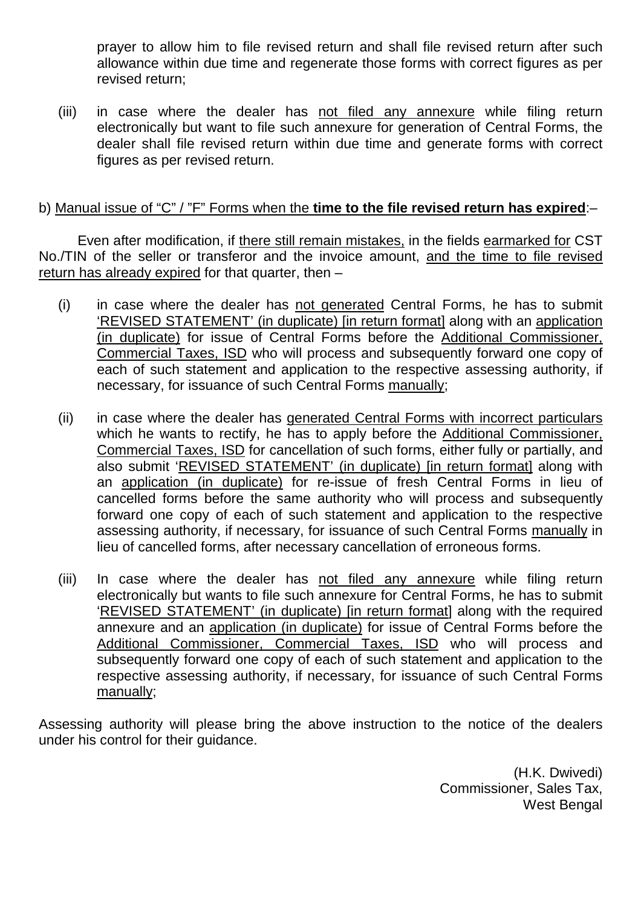prayer to allow him to file revised return and shall file revised return after such allowance within due time and regenerate those forms with correct figures as per revised return;

(iii) in case where the dealer has not filed any annexure while filing return electronically but want to file such annexure for generation of Central Forms, the dealer shall file revised return within due time and generate forms with correct figures as per revised return.

# b) Manual issue of "C" / "F" Forms when the **time to the file revised return has expired**:–

 Even after modification, if there still remain mistakes, in the fields earmarked for CST No./TIN of the seller or transferor and the invoice amount, and the time to file revised return has already expired for that quarter, then –

- (i) in case where the dealer has not generated Central Forms, he has to submit 'REVISED STATEMENT' (in duplicate) [in return format] along with an application (in duplicate) for issue of Central Forms before the Additional Commissioner, Commercial Taxes, ISD who will process and subsequently forward one copy of each of such statement and application to the respective assessing authority, if necessary, for issuance of such Central Forms manually;
- (ii) in case where the dealer has generated Central Forms with incorrect particulars which he wants to rectify, he has to apply before the Additional Commissioner, Commercial Taxes, ISD for cancellation of such forms, either fully or partially, and also submit 'REVISED STATEMENT' (in duplicate) [in return format] along with an application (in duplicate) for re-issue of fresh Central Forms in lieu of cancelled forms before the same authority who will process and subsequently forward one copy of each of such statement and application to the respective assessing authority, if necessary, for issuance of such Central Forms manually in lieu of cancelled forms, after necessary cancellation of erroneous forms.
- (iii) In case where the dealer has not filed any annexure while filing return electronically but wants to file such annexure for Central Forms, he has to submit 'REVISED STATEMENT' (in duplicate) [in return format] along with the required annexure and an application (in duplicate) for issue of Central Forms before the Additional Commissioner, Commercial Taxes, ISD who will process and subsequently forward one copy of each of such statement and application to the respective assessing authority, if necessary, for issuance of such Central Forms manually;

Assessing authority will please bring the above instruction to the notice of the dealers under his control for their guidance.

> (H.K. Dwivedi) Commissioner, Sales Tax, West Bengal